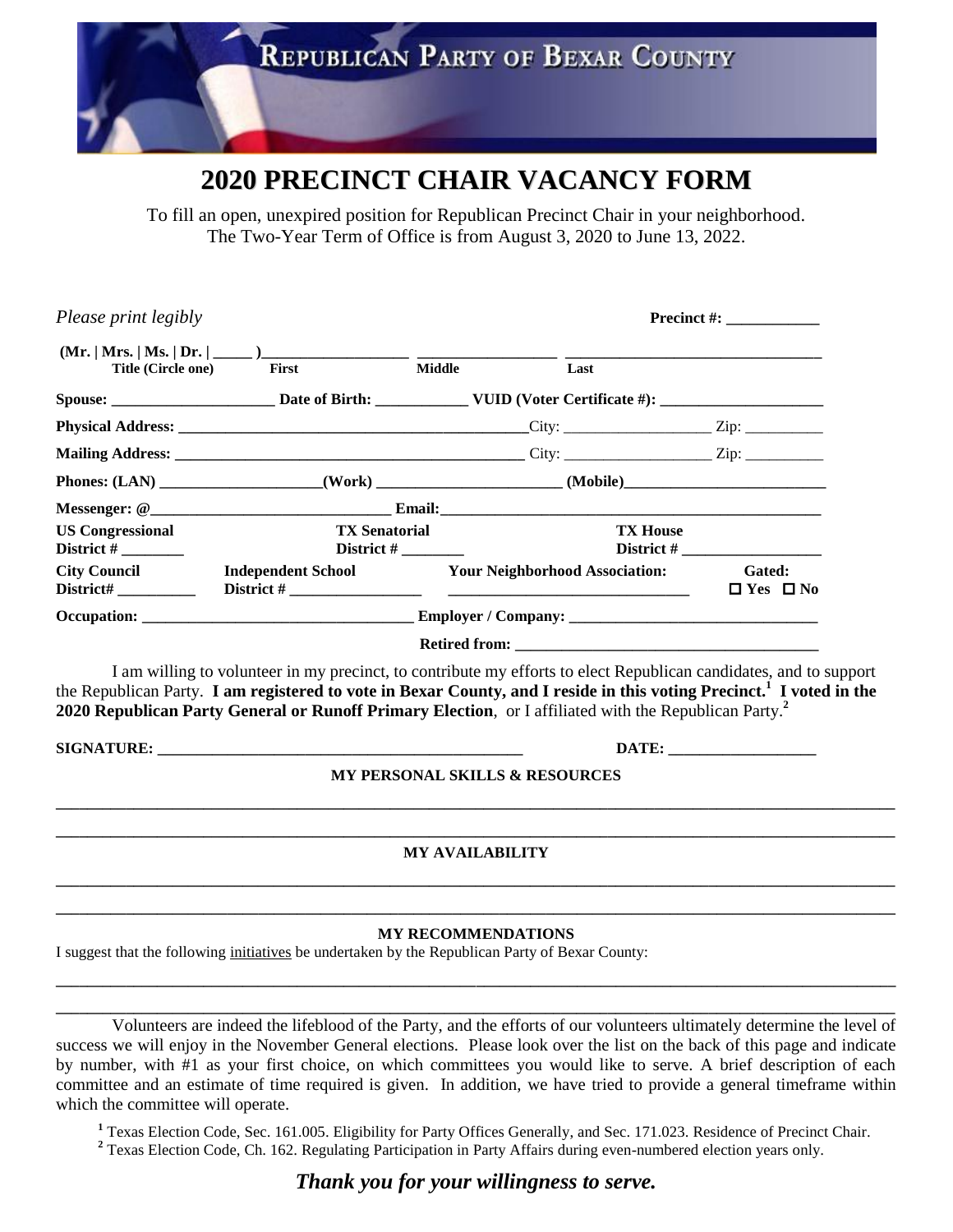

## **2020 PRECINCT CHAIR VACANCY FORM**

To fill an open, unexpired position for Republican Precinct Chair in your neighborhood. The Two-Year Term of Office is from August 3, 2020 to June 13, 2022.

| Please print legibly    |                                                                                                                                                                                                                                                                                                                                                                            |                           |                                                                                                      |                                       |  |
|-------------------------|----------------------------------------------------------------------------------------------------------------------------------------------------------------------------------------------------------------------------------------------------------------------------------------------------------------------------------------------------------------------------|---------------------------|------------------------------------------------------------------------------------------------------|---------------------------------------|--|
| Title (Circle one)      | $(Mr.   Mrs.   Ms.   Dr.   \_ )$<br>First                                                                                                                                                                                                                                                                                                                                  | Middle                    | Last                                                                                                 |                                       |  |
|                         |                                                                                                                                                                                                                                                                                                                                                                            |                           |                                                                                                      |                                       |  |
|                         |                                                                                                                                                                                                                                                                                                                                                                            |                           |                                                                                                      |                                       |  |
|                         |                                                                                                                                                                                                                                                                                                                                                                            |                           |                                                                                                      |                                       |  |
|                         |                                                                                                                                                                                                                                                                                                                                                                            |                           | Phones: (LAN) ___________________(Work) _____________________(Mobile)_______________________________ |                                       |  |
|                         |                                                                                                                                                                                                                                                                                                                                                                            |                           |                                                                                                      |                                       |  |
| <b>US Congressional</b> | <b>TX Senatorial</b><br>District # $\frac{1}{2}$                                                                                                                                                                                                                                                                                                                           |                           |                                                                                                      | <b>TX House</b>                       |  |
| <b>City Council</b>     | <b>Independent School</b>                                                                                                                                                                                                                                                                                                                                                  |                           | <b>Your Neighborhood Association:</b>                                                                | <b>Gated:</b><br>$\Box$ Yes $\Box$ No |  |
|                         |                                                                                                                                                                                                                                                                                                                                                                            |                           |                                                                                                      |                                       |  |
|                         | I am willing to volunteer in my precinct, to contribute my efforts to elect Republican candidates, and to support<br>the Republican Party. I am registered to vote in Bexar County, and I reside in this voting Precinct. <sup>1</sup> I voted in the<br>2020 Republican Party General or Runoff Primary Election, or I affiliated with the Republican Party. <sup>2</sup> |                           |                                                                                                      |                                       |  |
|                         |                                                                                                                                                                                                                                                                                                                                                                            |                           |                                                                                                      | DATE:                                 |  |
|                         |                                                                                                                                                                                                                                                                                                                                                                            |                           | <b>MY PERSONAL SKILLS &amp; RESOURCES</b>                                                            |                                       |  |
|                         |                                                                                                                                                                                                                                                                                                                                                                            | <b>MY AVAILABILITY</b>    |                                                                                                      |                                       |  |
|                         | I suggest that the following initiatives be undertaken by the Republican Party of Bexar County:                                                                                                                                                                                                                                                                            | <b>MY RECOMMENDATIONS</b> |                                                                                                      |                                       |  |

Volunteers are indeed the lifeblood of the Party, and the efforts of our volunteers ultimately determine the level of success we will enjoy in the November General elections. Please look over the list on the back of this page and indicate by number, with #1 as your first choice, on which committees you would like to serve. A brief description of each committee and an estimate of time required is given. In addition, we have tried to provide a general timeframe within which the committee will operate.

**\_\_\_\_\_\_\_\_\_\_\_\_\_\_\_\_\_\_\_\_\_\_\_\_\_\_\_\_\_\_\_\_\_\_\_\_\_\_\_\_\_\_\_\_\_\_\_\_\_\_\_\_\_\_\_\_\_\_\_\_\_\_\_\_\_\_\_\_\_\_\_\_\_\_\_\_\_\_\_\_\_\_\_\_\_\_\_\_\_\_\_\_\_\_\_\_\_\_\_\_\_\_\_\_\_\_\_\_** 

<sup>1</sup> Texas Election Code, Sec. 161.005. Eligibility for Party Offices Generally, and Sec. 171.023. Residence of Precinct Chair. <sup>2</sup> Texas Election Code, Ch. 162. Beculating Perticipation in Berty Affairs during aven numbere

<sup>2</sup> Texas Election Code, Ch. 162. Regulating Participation in Party Affairs during even-numbered election years only.

*Thank you for your willingness to serve.*